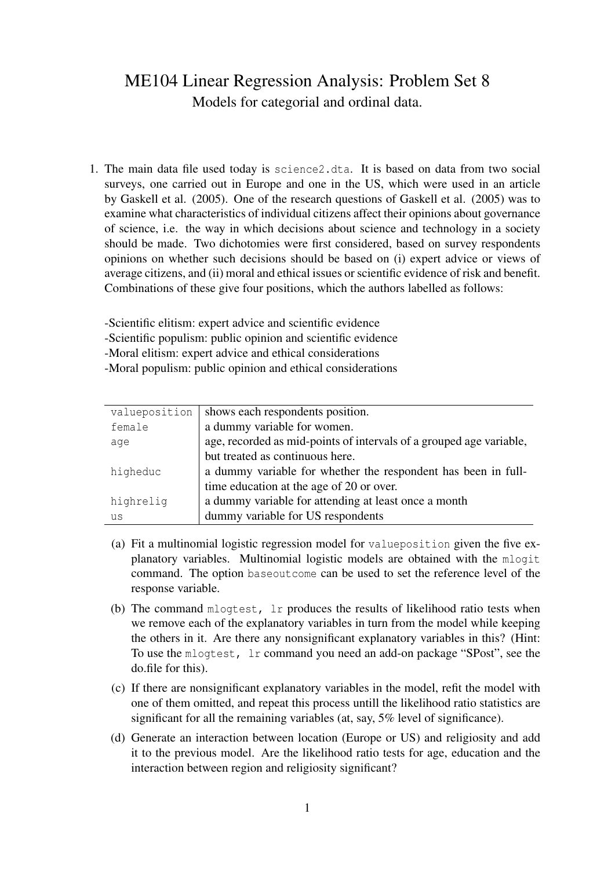## ME104 Linear Regression Analysis: Problem Set 8 Models for categorial and ordinal data.

1. The main data file used today is science2.dta. It is based on data from two social surveys, one carried out in Europe and one in the US, which were used in an article by Gaskell et al. (2005). One of the research questions of Gaskell et al. (2005) was to examine what characteristics of individual citizens affect their opinions about governance of science, i.e. the way in which decisions about science and technology in a society should be made. Two dichotomies were first considered, based on survey respondents opinions on whether such decisions should be based on (i) expert advice or views of average citizens, and (ii) moral and ethical issues or scientific evidence of risk and benefit. Combinations of these give four positions, which the authors labelled as follows:

-Scientific elitism: expert advice and scientific evidence

- -Scientific populism: public opinion and scientific evidence
- -Moral elitism: expert advice and ethical considerations
- -Moral populism: public opinion and ethical considerations

| valueposition | shows each respondents position.                                    |
|---------------|---------------------------------------------------------------------|
| female        | a dummy variable for women.                                         |
| age           | age, recorded as mid-points of intervals of a grouped age variable, |
|               | but treated as continuous here.                                     |
| higheduc      | a dummy variable for whether the respondent has been in full-       |
|               | time education at the age of 20 or over.                            |
| highrelig     | a dummy variable for attending at least once a month                |
| us            | dummy variable for US respondents                                   |

- (a) Fit a multinomial logistic regression model for valueposition given the five explanatory variables. Multinomial logistic models are obtained with the mlogit command. The option baseoutcome can be used to set the reference level of the response variable.
- (b) The command mlogtest, lr produces the results of likelihood ratio tests when we remove each of the explanatory variables in turn from the model while keeping the others in it. Are there any nonsignificant explanatory variables in this? (Hint: To use the mlogtest, lr command you need an add-on package "SPost", see the do.file for this).
- (c) If there are nonsignificant explanatory variables in the model, refit the model with one of them omitted, and repeat this process untill the likelihood ratio statistics are significant for all the remaining variables (at, say, 5% level of significance).
- (d) Generate an interaction between location (Europe or US) and religiosity and add it to the previous model. Are the likelihood ratio tests for age, education and the interaction between region and religiosity significant?